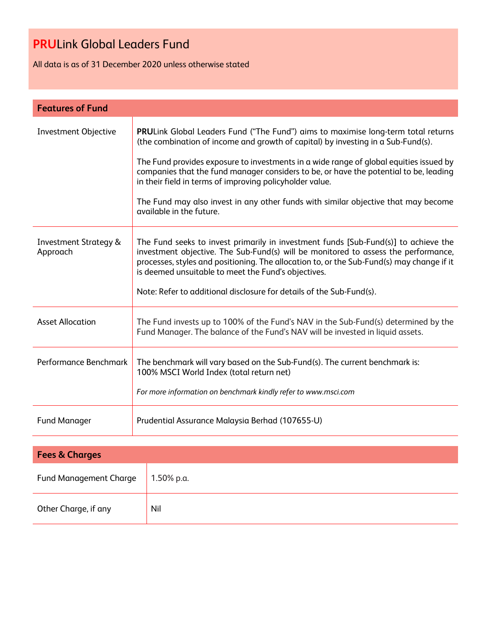All data is as of 31 December 2020 unless otherwise stated

| <b>Features of Fund</b>                      |                                                                                                                                                                                                                                                                                                                               |  |  |  |  |
|----------------------------------------------|-------------------------------------------------------------------------------------------------------------------------------------------------------------------------------------------------------------------------------------------------------------------------------------------------------------------------------|--|--|--|--|
| Investment Objective                         | <b>PRULink Global Leaders Fund ("The Fund") aims to maximise long-term total returns</b><br>(the combination of income and growth of capital) by investing in a Sub-Fund(s).                                                                                                                                                  |  |  |  |  |
|                                              | The Fund provides exposure to investments in a wide range of global equities issued by<br>companies that the fund manager considers to be, or have the potential to be, leading<br>in their field in terms of improving policyholder value.                                                                                   |  |  |  |  |
|                                              | The Fund may also invest in any other funds with similar objective that may become<br>available in the future.                                                                                                                                                                                                                |  |  |  |  |
| <b>Investment Strategy &amp;</b><br>Approach | The Fund seeks to invest primarily in investment funds [Sub-Fund(s)] to achieve the<br>investment objective. The Sub-Fund(s) will be monitored to assess the performance,<br>processes, styles and positioning. The allocation to, or the Sub-Fund(s) may change if it<br>is deemed unsuitable to meet the Fund's objectives. |  |  |  |  |
|                                              | Note: Refer to additional disclosure for details of the Sub-Fund(s).                                                                                                                                                                                                                                                          |  |  |  |  |
| <b>Asset Allocation</b>                      | The Fund invests up to 100% of the Fund's NAV in the Sub-Fund(s) determined by the<br>Fund Manager. The balance of the Fund's NAV will be invested in liquid assets.                                                                                                                                                          |  |  |  |  |
| Performance Benchmark                        | The benchmark will vary based on the Sub-Fund(s). The current benchmark is:<br>100% MSCI World Index (total return net)                                                                                                                                                                                                       |  |  |  |  |
|                                              | For more information on benchmark kindly refer to www.msci.com                                                                                                                                                                                                                                                                |  |  |  |  |
| <b>Fund Manager</b>                          | Prudential Assurance Malaysia Berhad (107655-U)                                                                                                                                                                                                                                                                               |  |  |  |  |
|                                              |                                                                                                                                                                                                                                                                                                                               |  |  |  |  |
| <b>Fees &amp; Charges</b>                    |                                                                                                                                                                                                                                                                                                                               |  |  |  |  |
| <b>Fund Management Charge</b>                | 1.50% p.a.                                                                                                                                                                                                                                                                                                                    |  |  |  |  |
| Other Charge, if any                         | Nil                                                                                                                                                                                                                                                                                                                           |  |  |  |  |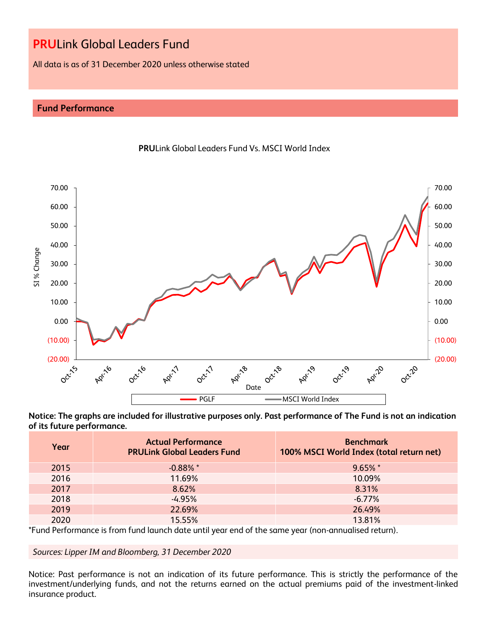All data is as of 31 December 2020 unless otherwise stated

# **Fund Performance**





**Notice: The graphs are included for illustrative purposes only. Past performance of The Fund is not an indication of its future performance.**

| Year | <b>Actual Performance</b><br><b>PRULink Global Leaders Fund</b> | <b>Benchmark</b><br>100% MSCI World Index (total return net) |
|------|-----------------------------------------------------------------|--------------------------------------------------------------|
| 2015 | $-0.88\%$ *                                                     | $9.65\%$ *                                                   |
| 2016 | 11.69%                                                          | 10.09%                                                       |
| 2017 | 8.62%                                                           | 8.31%                                                        |
| 2018 | $-4.95%$                                                        | $-6.77\%$                                                    |
| 2019 | 22.69%                                                          | 26.49%                                                       |
| 2020 | 15.55%                                                          | 13.81%                                                       |

\*Fund Performance is from fund launch date until year end of the same year (non-annualised return).

# *Sources: Lipper IM and Bloomberg, 31 December 2020*

Notice: Past performance is not an indication of its future performance. This is strictly the performance of the investment/underlying funds, and not the returns earned on the actual premiums paid of the investment-linked insurance product.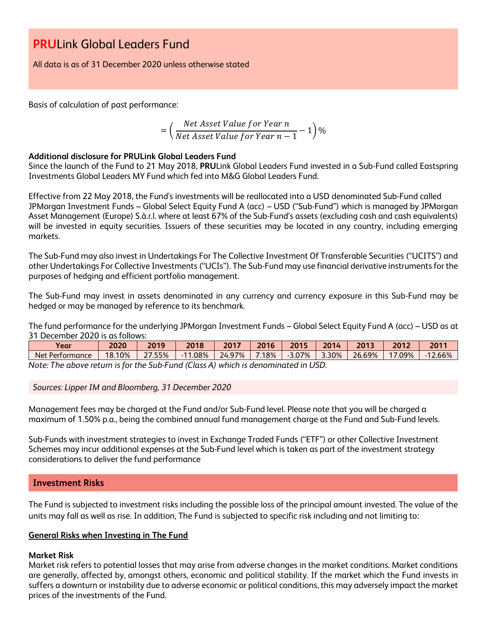All data is as of 31 December 2020 unless otherwise stated

Basis of calculation of past performance:

$$
= \left(\frac{Net\text{ Asset Value for Year }n}{Net\text{ Asset Value for Year }n-1}-1\right)\%
$$

# **Additional disclosure for PRULink Global Leaders Fund**

Since the launch of the Fund to 21 May 2018, **PRU**Link Global Leaders Fund invested in a Sub-Fund called Eastspring Investments Global Leaders MY Fund which fed into M&G Global Leaders Fund.

Effective from 22 May 2018, the Fund's investments will be reallocated into a USD denominated Sub-Fund called JPMorgan Investment Funds – Global Select Equity Fund A (acc) – USD ("Sub-Fund") which is managed by JPMorgan Asset Management (Europe) S.à.r.l. where at least 67% of the Sub-Fund's assets (excluding cash and cash equivalents) will be invested in equity securities. Issuers of these securities may be located in any country, including emerging markets.

The Sub-Fund may also invest in Undertakings For The Collective Investment Of Transferable Securities ("UCITS") and other Undertakings For Collective Investments ("UCIs"). The Sub-Fund may use financial derivative instruments for the purposes of hedging and efficient portfolio management.

The Sub-Fund may invest in assets denominated in any currency and currency exposure in this Sub-Fund may be hedged or may be managed by reference to its benchmark.

The fund performance for the underlying JPMorgan Investment Funds – Global Select Equity Fund A (acc) – USD as at 31 December 2020 is as follows:

| Year                                                                              | 2020   | 2019   | 2018       | 2017     | 2016     | 2015              | 2014 | 2013   | 2012      | 2011       |
|-----------------------------------------------------------------------------------|--------|--------|------------|----------|----------|-------------------|------|--------|-----------|------------|
| Net Performance                                                                   | 18.10% | 27.55% | $-11.08\%$ | 24.97% l | $7.18\%$ | $-3.07\%$   3.30% |      | 26.69% | $17.09\%$ | $-12.66\%$ |
| Note: The above return is for the Sub-Fund (Class A) which is denominated in USD. |        |        |            |          |          |                   |      |        |           |            |

*Sources: Lipper IM and Bloomberg, 31 December 2020*

Management fees may be charged at the Fund and/or Sub-Fund level. Please note that you will be charged a maximum of 1.50% p.a., being the combined annual fund management charge at the Fund and Sub-Fund levels.

Sub-Funds with investment strategies to invest in Exchange Traded Funds ("ETF") or other Collective Investment Schemes may incur additional expenses at the Sub-Fund level which is taken as part of the investment strategy considerations to deliver the fund performance

# **Investment Risks**

The Fund is subjected to investment risks including the possible loss of the principal amount invested. The value of the units may fall as well as rise. In addition, The Fund is subjected to specific risk including and not limiting to:

# **General Risks when Investing in The Fund**

# **Market Risk**

Market risk refers to potential losses that may arise from adverse changes in the market conditions. Market conditions are generally, affected by, amongst others, economic and political stability. If the market which the Fund invests in suffers a downturn or instability due to adverse economic or political conditions, this may adversely impact the market prices of the investments of the Fund.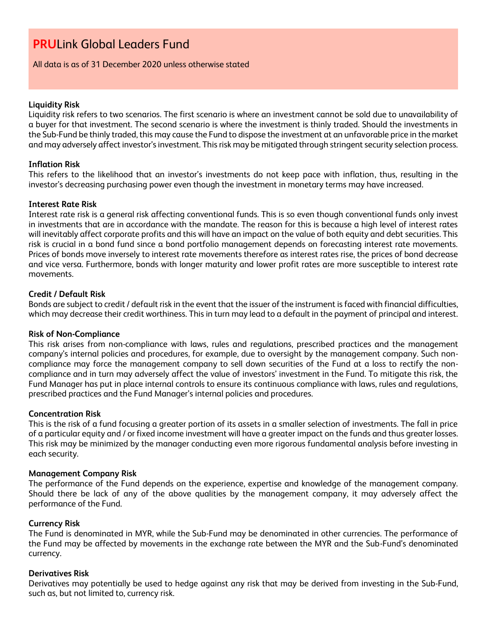All data is as of 31 December 2020 unless otherwise stated

#### **Liquidity Risk**

Liquidity risk refers to two scenarios. The first scenario is where an investment cannot be sold due to unavailability of a buyer for that investment. The second scenario is where the investment is thinly traded. Should the investments in the Sub-Fund be thinly traded, this may cause the Fund to dispose the investment at an unfavorable price in the market and may adversely affect investor's investment. This risk may be mitigated through stringent security selection process.

# **Inflation Risk**

This refers to the likelihood that an investor's investments do not keep pace with inflation, thus, resulting in the investor's decreasing purchasing power even though the investment in monetary terms may have increased.

# **Interest Rate Risk**

Interest rate risk is a general risk affecting conventional funds. This is so even though conventional funds only invest in investments that are in accordance with the mandate. The reason for this is because a high level of interest rates will inevitably affect corporate profits and this will have an impact on the value of both equity and debt securities. This risk is crucial in a bond fund since a bond portfolio management depends on forecasting interest rate movements. Prices of bonds move inversely to interest rate movements therefore as interest rates rise, the prices of bond decrease and vice versa. Furthermore, bonds with longer maturity and lower profit rates are more susceptible to interest rate movements.

# **Credit / Default Risk**

Bonds are subject to credit / default risk in the event that the issuer of the instrument is faced with financial difficulties, which may decrease their credit worthiness. This in turn may lead to a default in the payment of principal and interest.

# **Risk of Non-Compliance**

This risk arises from non-compliance with laws, rules and regulations, prescribed practices and the management company's internal policies and procedures, for example, due to oversight by the management company. Such noncompliance may force the management company to sell down securities of the Fund at a loss to rectify the noncompliance and in turn may adversely affect the value of investors' investment in the Fund. To mitigate this risk, the Fund Manager has put in place internal controls to ensure its continuous compliance with laws, rules and regulations, prescribed practices and the Fund Manager's internal policies and procedures.

# **Concentration Risk**

This is the risk of a fund focusing a greater portion of its assets in a smaller selection of investments. The fall in price of a particular equity and / or fixed income investment will have a greater impact on the funds and thus greater losses. This risk may be minimized by the manager conducting even more rigorous fundamental analysis before investing in each security.

# **Management Company Risk**

The performance of the Fund depends on the experience, expertise and knowledge of the management company. Should there be lack of any of the above qualities by the management company, it may adversely affect the performance of the Fund.

# **Currency Risk**

The Fund is denominated in MYR, while the Sub-Fund may be denominated in other currencies. The performance of the Fund may be affected by movements in the exchange rate between the MYR and the Sub-Fund's denominated currency.

# **Derivatives Risk**

Derivatives may potentially be used to hedge against any risk that may be derived from investing in the Sub-Fund, such as, but not limited to, currency risk.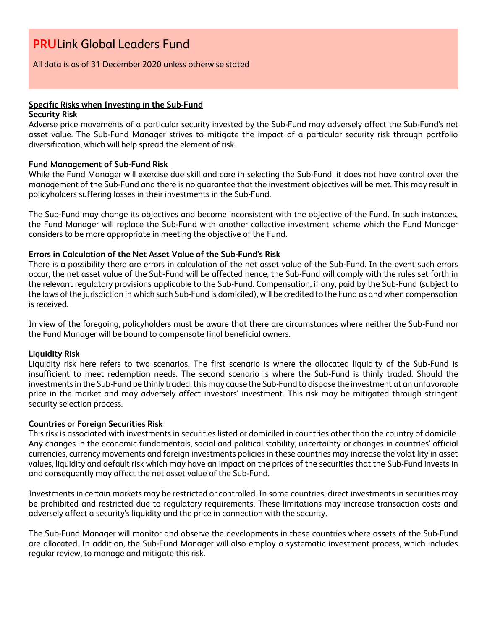# All data is as of 31 December 2020 unless otherwise stated

# **Specific Risks when Investing in the Sub-Fund**

#### **Security Risk**

Adverse price movements of a particular security invested by the Sub-Fund may adversely affect the Sub-Fund's net asset value. The Sub-Fund Manager strives to mitigate the impact of a particular security risk through portfolio diversification, which will help spread the element of risk.

# **Fund Management of Sub-Fund Risk**

While the Fund Manager will exercise due skill and care in selecting the Sub-Fund, it does not have control over the management of the Sub-Fund and there is no guarantee that the investment objectives will be met. This may result in policyholders suffering losses in their investments in the Sub-Fund.

The Sub-Fund may change its objectives and become inconsistent with the objective of the Fund. In such instances, the Fund Manager will replace the Sub-Fund with another collective investment scheme which the Fund Manager considers to be more appropriate in meeting the objective of the Fund.

# **Errors in Calculation of the Net Asset Value of the Sub-Fund's Risk**

There is a possibility there are errors in calculation of the net asset value of the Sub-Fund. In the event such errors occur, the net asset value of the Sub-Fund will be affected hence, the Sub-Fund will comply with the rules set forth in the relevant regulatory provisions applicable to the Sub-Fund. Compensation, if any, paid by the Sub-Fund (subject to the laws of the jurisdiction in which such Sub-Fund is domiciled), will be credited to the Fund as and when compensation is received.

In view of the foregoing, policyholders must be aware that there are circumstances where neither the Sub-Fund nor the Fund Manager will be bound to compensate final beneficial owners.

# **Liquidity Risk**

Liquidity risk here refers to two scenarios. The first scenario is where the allocated liquidity of the Sub-Fund is insufficient to meet redemption needs. The second scenario is where the Sub-Fund is thinly traded. Should the investments in the Sub-Fund be thinly traded, this may cause the Sub-Fund to dispose the investment at an unfavorable price in the market and may adversely affect investors' investment. This risk may be mitigated through stringent security selection process.

# **Countries or Foreign Securities Risk**

This risk is associated with investments in securities listed or domiciled in countries other than the country of domicile. Any changes in the economic fundamentals, social and political stability, uncertainty or changes in countries' official currencies, currency movements and foreign investments policies in these countries may increase the volatility in asset values, liquidity and default risk which may have an impact on the prices of the securities that the Sub-Fund invests in and consequently may affect the net asset value of the Sub-Fund.

Investments in certain markets may be restricted or controlled. In some countries, direct investments in securities may be prohibited and restricted due to regulatory requirements. These limitations may increase transaction costs and adversely affect a security's liquidity and the price in connection with the security.

The Sub-Fund Manager will monitor and observe the developments in these countries where assets of the Sub-Fund are allocated. In addition, the Sub-Fund Manager will also employ a systematic investment process, which includes regular review, to manage and mitigate this risk.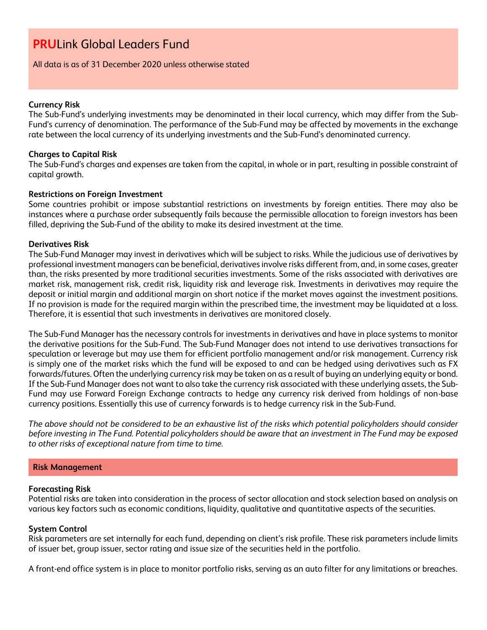All data is as of 31 December 2020 unless otherwise stated

# **Currency Risk**

The Sub-Fund's underlying investments may be denominated in their local currency, which may differ from the Sub-Fund's currency of denomination. The performance of the Sub-Fund may be affected by movements in the exchange rate between the local currency of its underlying investments and the Sub-Fund's denominated currency.

# **Charges to Capital Risk**

The Sub-Fund's charges and expenses are taken from the capital, in whole or in part, resulting in possible constraint of capital growth.

# **Restrictions on Foreign Investment**

Some countries prohibit or impose substantial restrictions on investments by foreign entities. There may also be instances where a purchase order subsequently fails because the permissible allocation to foreign investors has been filled, depriving the Sub-Fund of the ability to make its desired investment at the time.

# **Derivatives Risk**

The Sub-Fund Manager may invest in derivatives which will be subject to risks. While the judicious use of derivatives by professional investment managers can be beneficial, derivatives involve risks different from, and, in some cases, greater than, the risks presented by more traditional securities investments. Some of the risks associated with derivatives are market risk, management risk, credit risk, liquidity risk and leverage risk. Investments in derivatives may require the deposit or initial margin and additional margin on short notice if the market moves against the investment positions. If no provision is made for the required margin within the prescribed time, the investment may be liquidated at a loss. Therefore, it is essential that such investments in derivatives are monitored closely.

The Sub-Fund Manager has the necessary controls for investments in derivatives and have in place systems to monitor the derivative positions for the Sub-Fund. The Sub-Fund Manager does not intend to use derivatives transactions for speculation or leverage but may use them for efficient portfolio management and/or risk management. Currency risk is simply one of the market risks which the fund will be exposed to and can be hedged using derivatives such as FX forwards/futures. Often the underlying currency risk may be taken on as a result of buying an underlying equity or bond. If the Sub-Fund Manager does not want to also take the currency risk associated with these underlying assets, the Sub-Fund may use Forward Foreign Exchange contracts to hedge any currency risk derived from holdings of non-base currency positions. Essentially this use of currency forwards is to hedge currency risk in the Sub-Fund.

*The above should not be considered to be an exhaustive list of the risks which potential policyholders should consider before investing in The Fund. Potential policyholders should be aware that an investment in The Fund may be exposed to other risks of exceptional nature from time to time.*

# **Risk Management**

# **Forecasting Risk**

Potential risks are taken into consideration in the process of sector allocation and stock selection based on analysis on various key factors such as economic conditions, liquidity, qualitative and quantitative aspects of the securities.

# **System Control**

Risk parameters are set internally for each fund, depending on client's risk profile. These risk parameters include limits of issuer bet, group issuer, sector rating and issue size of the securities held in the portfolio.

A front-end office system is in place to monitor portfolio risks, serving as an auto filter for any limitations or breaches.